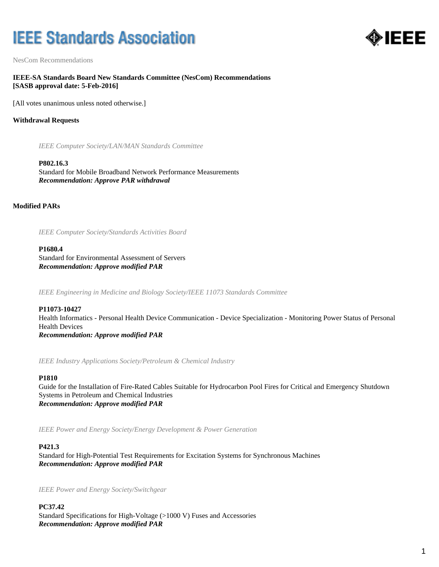# **IEEE Standards Association**



NesCom Recommendations

**IEEE-SA Standards Board New Standards Committee (NesCom) Recommendations [SASB approval date: 5-Feb-2016]**

[All votes unanimous unless noted otherwise.]

# **Withdrawal Requests**

*IEEE Computer Society/LAN/MAN Standards Committee*

**P802.16.3** Standard for Mobile Broadband Network Performance Measurements *Recommendation: Approve PAR withdrawal*

**Modified PARs**

*IEEE Computer Society/Standards Activities Board*

**P1680.4** Standard for Environmental Assessment of Servers *Recommendation: Approve modified PAR*

*IEEE Engineering in Medicine and Biology Society/IEEE 11073 Standards Committee*

**P11073-10427** Health Informatics - Personal Health Device Communication - Device Specialization - Monitoring Power Status of Personal Health Devices *Recommendation: Approve modified PAR*

*IEEE Industry Applications Society/Petroleum & Chemical Industry*

# **P1810**

Guide for the Installation of Fire-Rated Cables Suitable for Hydrocarbon Pool Fires for Critical and Emergency Shutdown Systems in Petroleum and Chemical Industries *Recommendation: Approve modified PAR*

*IEEE Power and Energy Society/Energy Development & Power Generation*

# **P421.3**

Standard for High-Potential Test Requirements for Excitation Systems for Synchronous Machines *Recommendation: Approve modified PAR*

*IEEE Power and Energy Society/Switchgear*

**PC37.42** Standard Specifications for High-Voltage (>1000 V) Fuses and Accessories *Recommendation: Approve modified PAR*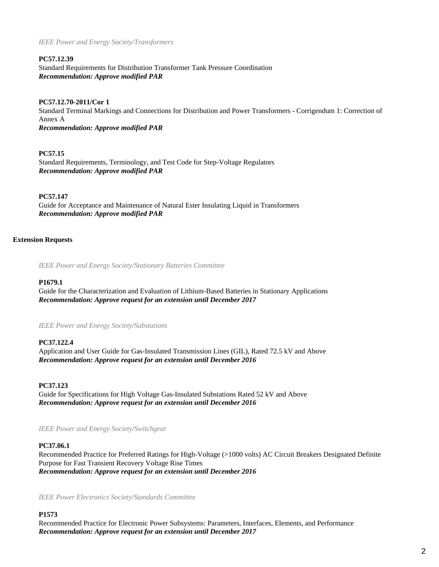*IEEE Power and Energy Society/Transformers*

### **PC57.12.39**

Standard Requirements for Distribution Transformer Tank Pressure Coordination *Recommendation: Approve modified PAR*

# **PC57.12.70-2011/Cor 1**

Standard Terminal Markings and Connections for Distribution and Power Transformers - Corrigendum 1: Correction of Annex A *Recommendation: Approve modified PAR*

### **PC57.15**

Standard Requirements, Terminology, and Test Code for Step-Voltage Regulators *Recommendation: Approve modified PAR*

### **PC57.147**

Guide for Acceptance and Maintenance of Natural Ester Insulating Liquid in Transformers *Recommendation: Approve modified PAR*

### **Extension Requests**

*IEEE Power and Energy Society/Stationary Batteries Committee*

#### **P1679.1**

Guide for the Characterization and Evaluation of Lithium-Based Batteries in Stationary Applications *Recommendation: Approve request for an extension until December 2017*

*IEEE Power and Energy Society/Substations*

#### **PC37.122.4**

Application and User Guide for Gas-Insulated Transmission Lines (GIL), Rated 72.5 kV and Above *Recommendation: Approve request for an extension until December 2016*

### **PC37.123**

Guide for Specifications for High Voltage Gas-Insulated Substations Rated 52 kV and Above *Recommendation: Approve request for an extension until December 2016*

*IEEE Power and Energy Society/Switchgear*

#### **PC37.06.1**

Recommended Practice for Preferred Ratings for High-Voltage (>1000 volts) AC Circuit Breakers Designated Definite Purpose for Fast Transient Recovery Voltage Rise Times *Recommendation: Approve request for an extension until December 2016*

*IEEE Power Electronics Society/Standards Committee*

#### **P1573**

Recommended Practice for Electronic Power Subsystems: Parameters, Interfaces, Elements, and Performance *Recommendation: Approve request for an extension until December 2017*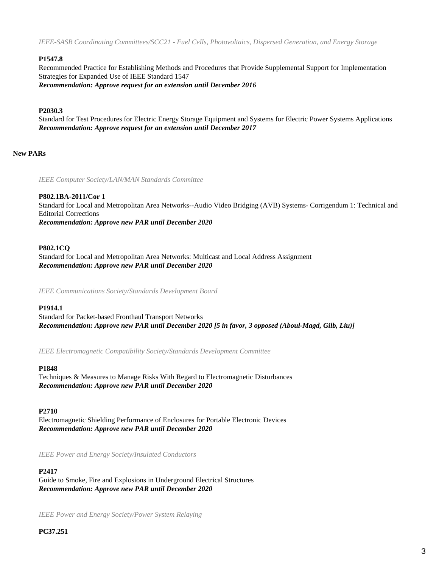*IEEE-SASB Coordinating Committees/SCC21 - Fuel Cells, Photovoltaics, Dispersed Generation, and Energy Storage*

# **P1547.8**

Recommended Practice for Establishing Methods and Procedures that Provide Supplemental Support for Implementation Strategies for Expanded Use of IEEE Standard 1547 *Recommendation: Approve request for an extension until December 2016*

# **P2030.3**

Standard for Test Procedures for Electric Energy Storage Equipment and Systems for Electric Power Systems Applications *Recommendation: Approve request for an extension until December 2017*

# **New PARs**

*IEEE Computer Society/LAN/MAN Standards Committee*

# **P802.1BA-2011/Cor 1**

Standard for Local and Metropolitan Area Networks--Audio Video Bridging (AVB) Systems- Corrigendum 1: Technical and Editorial Corrections *Recommendation: Approve new PAR until December 2020*

# **P802.1CQ**

Standard for Local and Metropolitan Area Networks: Multicast and Local Address Assignment *Recommendation: Approve new PAR until December 2020*

*IEEE Communications Society/Standards Development Board*

# **P1914.1**

Standard for Packet-based Fronthaul Transport Networks *Recommendation: Approve new PAR until December 2020 [5 in favor, 3 opposed (Aboul-Magd, Gilb, Liu)]*

*IEEE Electromagnetic Compatibility Society/Standards Development Committee*

# **P1848**

Techniques & Measures to Manage Risks With Regard to Electromagnetic Disturbances *Recommendation: Approve new PAR until December 2020*

# **P2710**

Electromagnetic Shielding Performance of Enclosures for Portable Electronic Devices *Recommendation: Approve new PAR until December 2020*

*IEEE Power and Energy Society/Insulated Conductors*

# **P2417**

Guide to Smoke, Fire and Explosions in Underground Electrical Structures *Recommendation: Approve new PAR until December 2020*

*IEEE Power and Energy Society/Power System Relaying*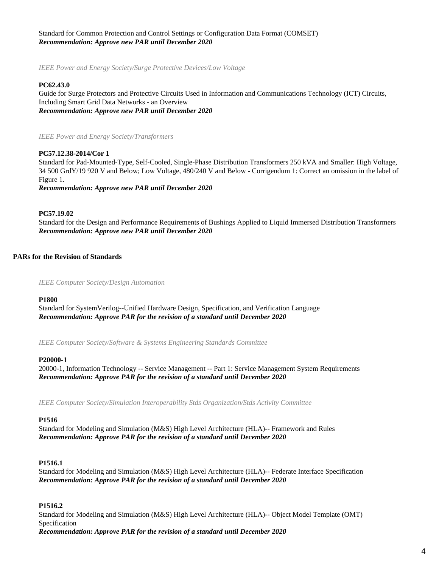# Standard for Common Protection and Control Settings or Configuration Data Format (COMSET) *Recommendation: Approve new PAR until December 2020*

*IEEE Power and Energy Society/Surge Protective Devices/Low Voltage*

#### **PC62.43.0**

Guide for Surge Protectors and Protective Circuits Used in Information and Communications Technology (ICT) Circuits, Including Smart Grid Data Networks - an Overview *Recommendation: Approve new PAR until December 2020*

*IEEE Power and Energy Society/Transformers*

#### **PC57.12.38-2014/Cor 1**

Standard for Pad-Mounted-Type, Self-Cooled, Single-Phase Distribution Transformers 250 kVA and Smaller: High Voltage, 34 500 GrdY/19 920 V and Below; Low Voltage, 480/240 V and Below - Corrigendum 1: Correct an omission in the label of Figure 1.

*Recommendation: Approve new PAR until December 2020*

#### **PC57.19.02**

Standard for the Design and Performance Requirements of Bushings Applied to Liquid Immersed Distribution Transformers *Recommendation: Approve new PAR until December 2020*

#### **PARs for the Revision of Standards**

*IEEE Computer Society/Design Automation*

#### **P1800**

Standard for SystemVerilog--Unified Hardware Design, Specification, and Verification Language *Recommendation: Approve PAR for the revision of a standard until December 2020*

*IEEE Computer Society/Software & Systems Engineering Standards Committee*

#### **P20000-1**

20000-1, Information Technology -- Service Management -- Part 1: Service Management System Requirements *Recommendation: Approve PAR for the revision of a standard until December 2020*

*IEEE Computer Society/Simulation Interoperability Stds Organization/Stds Activity Committee*

#### **P1516**

Standard for Modeling and Simulation (M&S) High Level Architecture (HLA)-- Framework and Rules *Recommendation: Approve PAR for the revision of a standard until December 2020*

#### **P1516.1**

Standard for Modeling and Simulation (M&S) High Level Architecture (HLA)-- Federate Interface Specification *Recommendation: Approve PAR for the revision of a standard until December 2020*

#### **P1516.2**

Standard for Modeling and Simulation (M&S) High Level Architecture (HLA)-- Object Model Template (OMT) Specification *Recommendation: Approve PAR for the revision of a standard until December 2020*